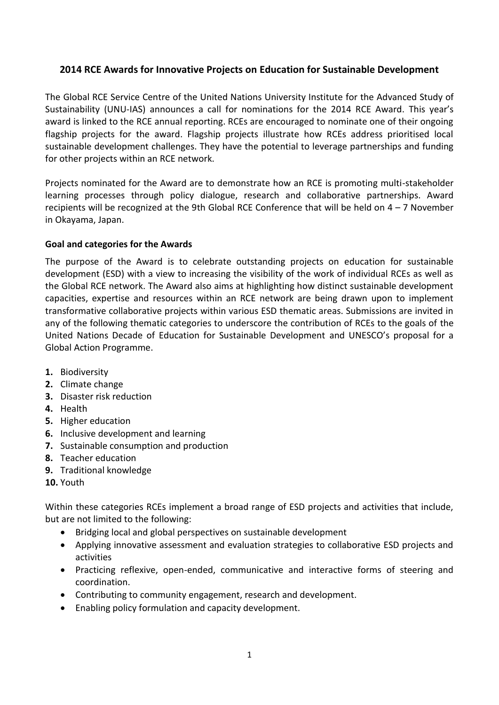## **2014 RCE Awards for Innovative Projects on Education for Sustainable Development**

The Global RCE Service Centre of the United Nations University Institute for the Advanced Study of Sustainability (UNU-IAS) announces a call for nominations for the 2014 RCE Award. This year's award is linked to the RCE annual reporting. RCEs are encouraged to nominate one of their ongoing flagship projects for the award. Flagship projects illustrate how RCEs address prioritised local sustainable development challenges. They have the potential to leverage partnerships and funding for other projects within an RCE network.

Projects nominated for the Award are to demonstrate how an RCE is promoting multi-stakeholder learning processes through policy dialogue, research and collaborative partnerships. Award recipients will be recognized at the 9th Global RCE Conference that will be held on 4 – 7 November in Okayama, Japan.

## **Goal and categories for the Awards**

The purpose of the Award is to celebrate outstanding projects on education for sustainable development (ESD) with a view to increasing the visibility of the work of individual RCEs as well as the Global RCE network. The Award also aims at highlighting how distinct sustainable development capacities, expertise and resources within an RCE network are being drawn upon to implement transformative collaborative projects within various ESD thematic areas. Submissions are invited in any of the following thematic categories to underscore the contribution of RCEs to the goals of the United Nations Decade of Education for Sustainable Development and UNESCO's proposal for a Global Action Programme.

- **1.** Biodiversity
- **2.** Climate change
- **3.** Disaster risk reduction
- **4.** Health
- **5.** Higher education
- **6.** Inclusive development and learning
- **7.** Sustainable consumption and production
- **8.** Teacher education
- **9.** Traditional knowledge
- **10.** Youth

Within these categories RCEs implement a broad range of ESD projects and activities that include, but are not limited to the following:

- Bridging local and global perspectives on sustainable development
- Applying innovative assessment and evaluation strategies to collaborative ESD projects and activities
- Practicing reflexive, open-ended, communicative and interactive forms of steering and coordination.
- Contributing to community engagement, research and development.
- Enabling policy formulation and capacity development.